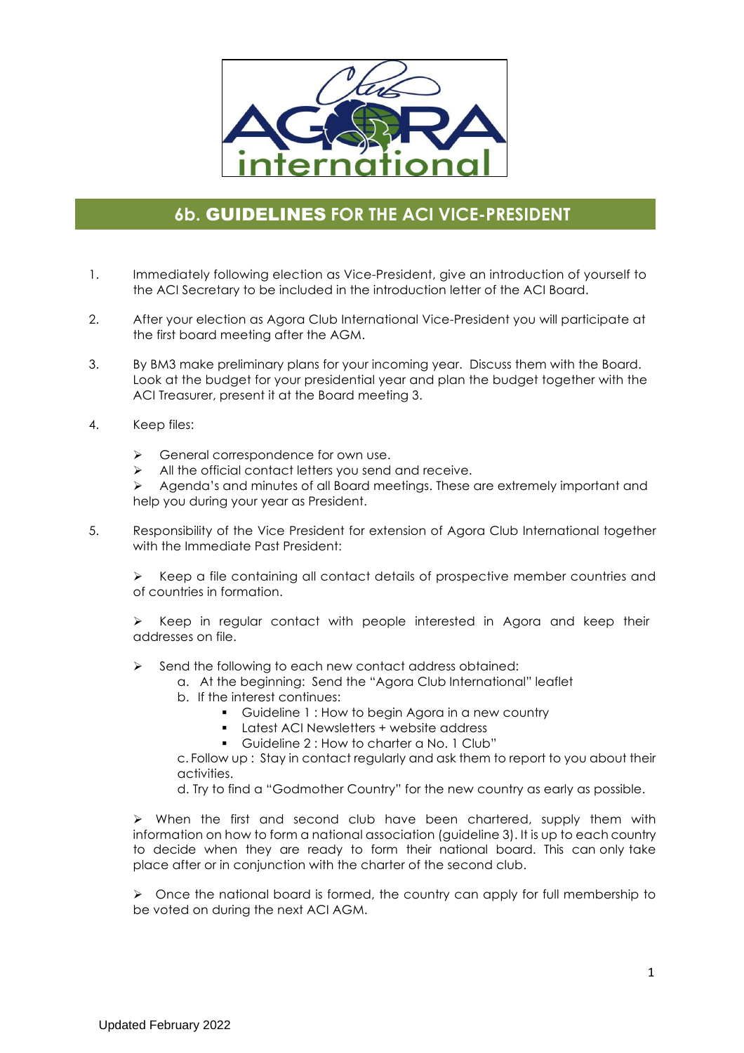

## **6b.** GUIDELINES **FOR THE ACI VICE-PRESIDENT**

- 1. Immediately following election as Vice-President, give an introduction of yourself to the ACI Secretary to be included in the introduction letter of the ACI Board.
- 2. After your election as Agora Club International Vice-President you will participate at the first board meeting after the AGM.
- 3. By BM3 make preliminary plans for your incoming year. Discuss them with the Board. Look at the budget for your presidential year and plan the budget together with the ACI Treasurer, present it at the Board meeting 3.
- 4. Keep files:
	- $\triangleright$  General correspondence for own use.
	- $\triangleright$  All the official contact letters you send and receive.

Ø Agenda's and minutes of all Board meetings. These are extremely important and help you during your year as President.

5. Responsibility of the Vice President for extension of Agora Club International together with the Immediate Past President:

 $\triangleright$  Keep a file containing all contact details of prospective member countries and of countries in formation.

 $\triangleright$  Keep in regular contact with people interested in Agora and keep their addresses on file.

- Send the following to each new contact address obtained:
	- a. At the beginning: Send the "Agora Club International" leaflet
	- b. If the interest continues:
		- Guideline 1 : How to begin Agora in a new country
		- Latest ACI Newsletters + website address
		- § Guideline 2 : How to charter a No. 1 Club"

c. Follow up : Stay in contact regularly and ask them to report to you about their activities.

d. Try to find a "Godmother Country" for the new country as early as possible.

 $\triangleright$  When the first and second club have been chartered, supply them with information on how to form a national association (guideline 3). It is up to each country to decide when they are ready to form their national board. This can only take place after or in conjunction with the charter of the second club.

 $\triangleright$  Once the national board is formed, the country can apply for full membership to be voted on during the next ACI AGM.